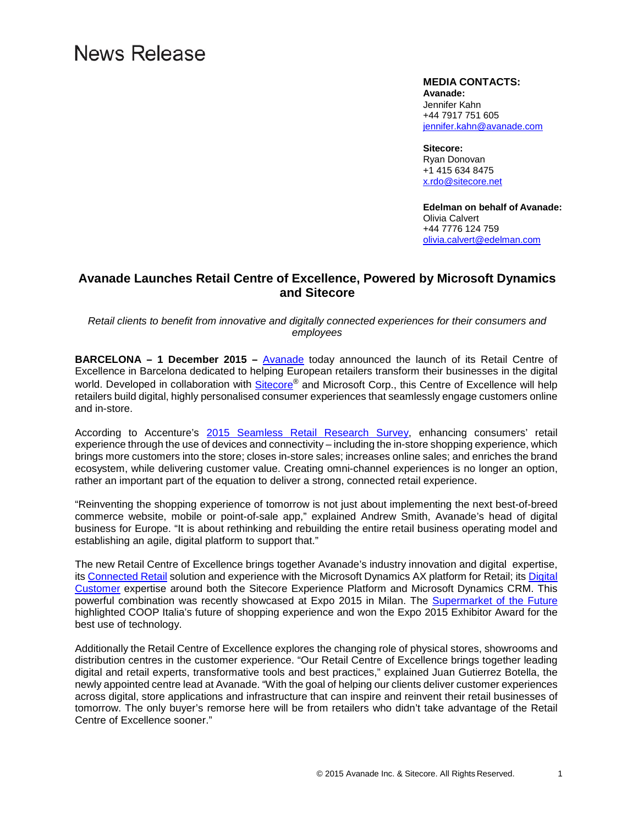# News Release

#### **MEDIA CONTACTS:**

**Avanade:** Jennifer Kahn +44 7917 751 605 [jennifer.kahn@avanade.com](mailto:Jennifer.kahn@avanade.com)

**Sitecore:** Ryan Donovan +1 415 634 8475 [x.rdo@sitecore.net](mailto:x.rdo@sitecore.net)

**Edelman on behalf of Avanade:** Olivia Calvert +44 7776 124 759 [olivia.calvert@edelman.com](mailto:olivia.calvert@edelman.com)

## **Avanade Launches Retail Centre of Excellence, Powered by Microsoft Dynamics and Sitecore**

*Retail clients to benefit from innovative and digitally connected experiences for their consumers and employees*

**BARCELONA – 1 December 2015 –** [Avanade](http://www.avanade.com/) today announced the launch of its Retail Centre of Excellence in Barcelona dedicated to helping European retailers transform their businesses in the digital world. Developed in collaboration with [Sitecore®](http://www.sitecore.net/) and Microsoft Corp., this Centre of Excellence will help retailers build digital, highly personalised consumer experiences that seamlessly engage customers online and in-store.

According to Accenture's [2015 Seamless Retail Research Survey,](https://www.accenture.com/us-en/retail-research-2015-consumer-research#block-global-findings) enhancing consumers' retail experience through the use of devices and connectivity – including the in-store shopping experience, which brings more customers into the store; closes in-store sales; increases online sales; and enriches the brand ecosystem, while delivering customer value. Creating omni-channel experiences is no longer an option, rather an important part of the equation to deliver a strong, connected retail experience.

"Reinventing the shopping experience of tomorrow is not just about implementing the next best-of-breed commerce website, mobile or point-of-sale app," explained Andrew Smith, Avanade's head of digital business for Europe. "It is about rethinking and rebuilding the entire retail business operating model and establishing an agile, digital platform to support that."

The new Retail Centre of Excellence brings together Avanade's industry innovation and digital expertise, its [Connected Retail](http://www.avanade.com/en/services-and-solutions/services/erp-solutions/retail-erp-management-system) solution and experience with the Microsoft Dynamics AX platform for Retail; its [Digital](http://www.avanade.com/en/services-and-solutions/business-vision/digital-customer/digital-customer-experience)  [Customer](http://www.avanade.com/en/services-and-solutions/business-vision/digital-customer/digital-customer-experience) expertise around both the Sitecore Experience Platform and Microsoft Dynamics CRM. This powerful combination was recently showcased at Expo 2015 in Milan. The [Supermarket of the Future](https://www.youtube.com/watch?v=BhNEGu-1VpA) highlighted COOP Italia's future of shopping experience and won the Expo 2015 Exhibitor Award for the best use of technology.

Additionally the Retail Centre of Excellence explores the changing role of physical stores, showrooms and distribution centres in the customer experience. "Our Retail Centre of Excellence brings together leading digital and retail experts, transformative tools and best practices," explained Juan Gutierrez Botella, the newly appointed centre lead at Avanade. "With the goal of helping our clients deliver customer experiences across digital, store applications and infrastructure that can inspire and reinvent their retail businesses of tomorrow. The only buyer's remorse here will be from retailers who didn't take advantage of the Retail Centre of Excellence sooner."